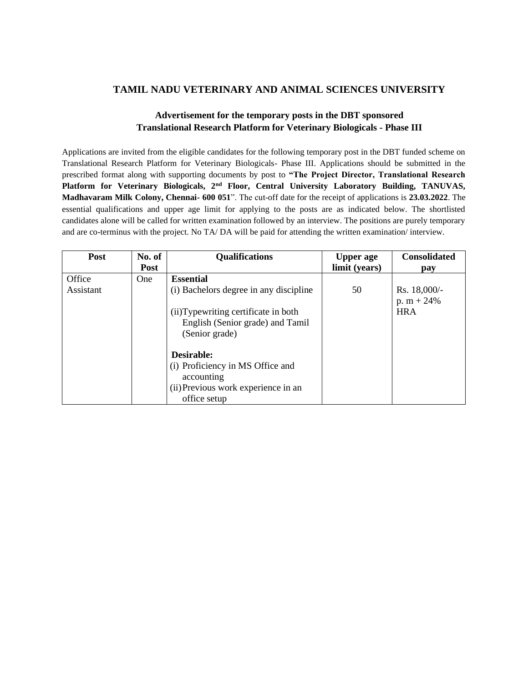## **TAMIL NADU VETERINARY AND ANIMAL SCIENCES UNIVERSITY**

## **Advertisement for the temporary posts in the DBT sponsored Translational Research Platform for Veterinary Biologicals - Phase III**

Applications are invited from the eligible candidates for the following temporary post in the DBT funded scheme on Translational Research Platform for Veterinary Biologicals- Phase III. Applications should be submitted in the prescribed format along with supporting documents by post to **"The Project Director, Translational Research Platform for Veterinary Biologicals, 2nd Floor, Central University Laboratory Building, TANUVAS, Madhavaram Milk Colony, Chennai- 600 051**". The cut-off date for the receipt of applications is **23.03.2022**. The essential qualifications and upper age limit for applying to the posts are as indicated below. The shortlisted candidates alone will be called for written examination followed by an interview. The positions are purely temporary and are co-terminus with the project. No TA/ DA will be paid for attending the written examination/ interview.

| <b>Post</b> | No. of     | <b>Qualifications</b>                  | <b>Upper</b> age | <b>Consolidated</b> |
|-------------|------------|----------------------------------------|------------------|---------------------|
|             | Post       |                                        | limit (years)    | pay                 |
| Office      | <b>One</b> | <b>Essential</b>                       |                  |                     |
| Assistant   |            | (i) Bachelors degree in any discipline | 50               | Rs. 18,000/-        |
|             |            |                                        |                  | p. $m + 24%$        |
|             |            | (ii)Typewriting certificate in both    |                  | <b>HRA</b>          |
|             |            | English (Senior grade) and Tamil       |                  |                     |
|             |            | (Senior grade)                         |                  |                     |
|             |            | Desirable:                             |                  |                     |
|             |            | (i) Proficiency in MS Office and       |                  |                     |
|             |            | accounting                             |                  |                     |
|             |            | (ii) Previous work experience in an    |                  |                     |
|             |            | office setup                           |                  |                     |